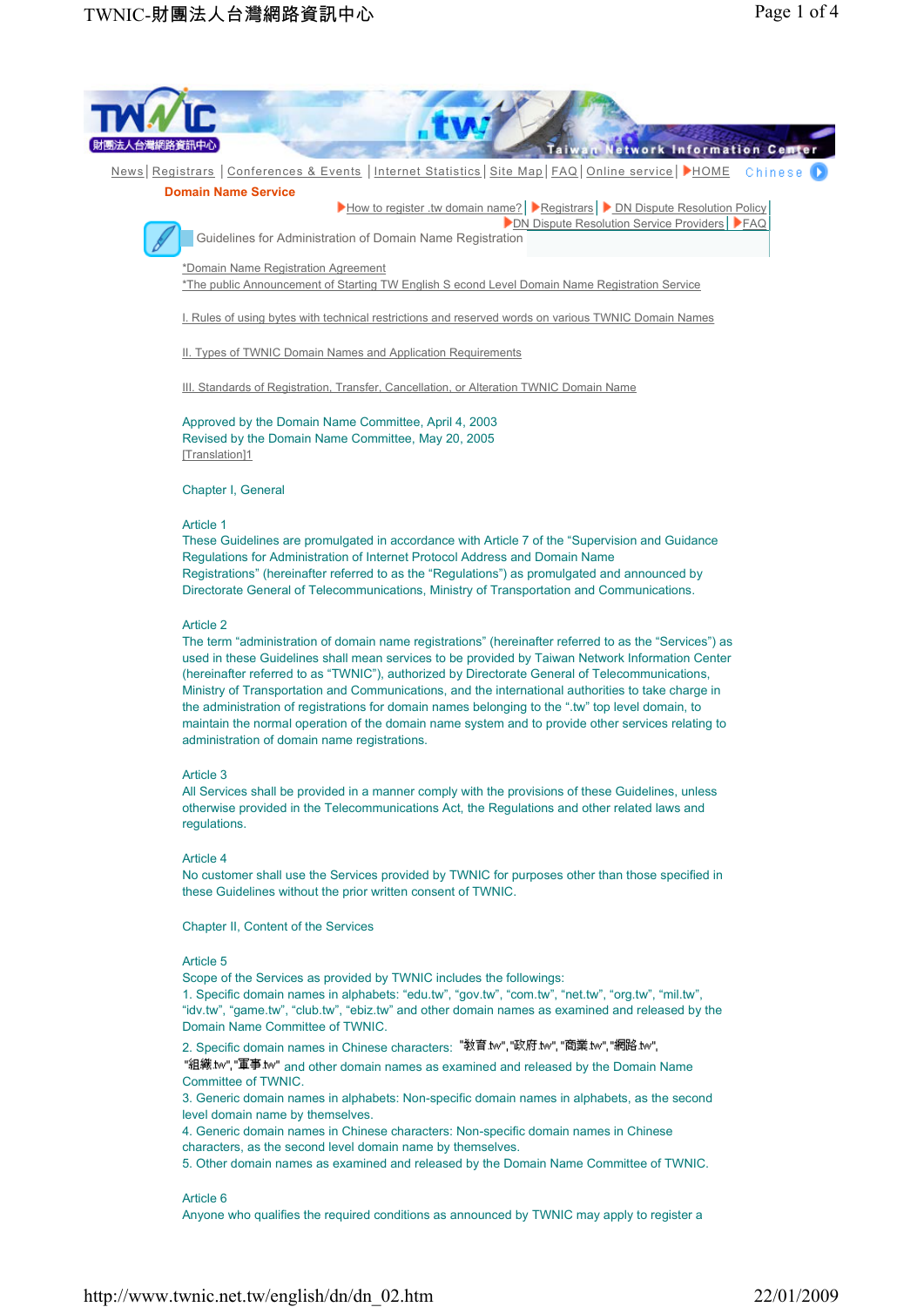

used in these Guidelines shall mean services to be provided by Taiwan Network Information Center (hereinafter referred to as "TWNIC"), authorized by Directorate General of Telecommunications, Ministry of Transportation and Communications, and the international authorities to take charge in the administration of registrations for domain names belonging to the ".tw" top level domain, to maintain the normal operation of the domain name system and to provide other services relating to administration of domain name registrations.

#### Article 3

All Services shall be provided in a manner comply with the provisions of these Guidelines, unless otherwise provided in the Telecommunications Act, the Regulations and other related laws and regulations.

# Article 4

No customer shall use the Services provided by TWNIC for purposes other than those specified in these Guidelines without the prior written consent of TWNIC.

Chapter II, Content of the Services

#### Article 5

Scope of the Services as provided by TWNIC includes the followings:

1. Specific domain names in alphabets: "edu.tw", "gov.tw", "com.tw", "net.tw", "org.tw", "mil.tw", "idv.tw", "game.tw", "club.tw", "ebiz.tw" and other domain names as examined and released by the Domain Name Committee of TWNIC.

2. Specific domain names in Chinese characters: "教育.tw","政府.tw","商業.tw","網路.tw".

"組織.tw", "軍事.tw" and other domain names as examined and released by the Domain Name Committee of TWNIC.

3. Generic domain names in alphabets: Non-specific domain names in alphabets, as the second level domain name by themselves.

4. Generic domain names in Chinese characters: Non-specific domain names in Chinese characters, as the second level domain name by themselves.

5. Other domain names as examined and released by the Domain Name Committee of TWNIC.

#### Article 6

Anyone who qualifies the required conditions as announced by TWNIC may apply to register a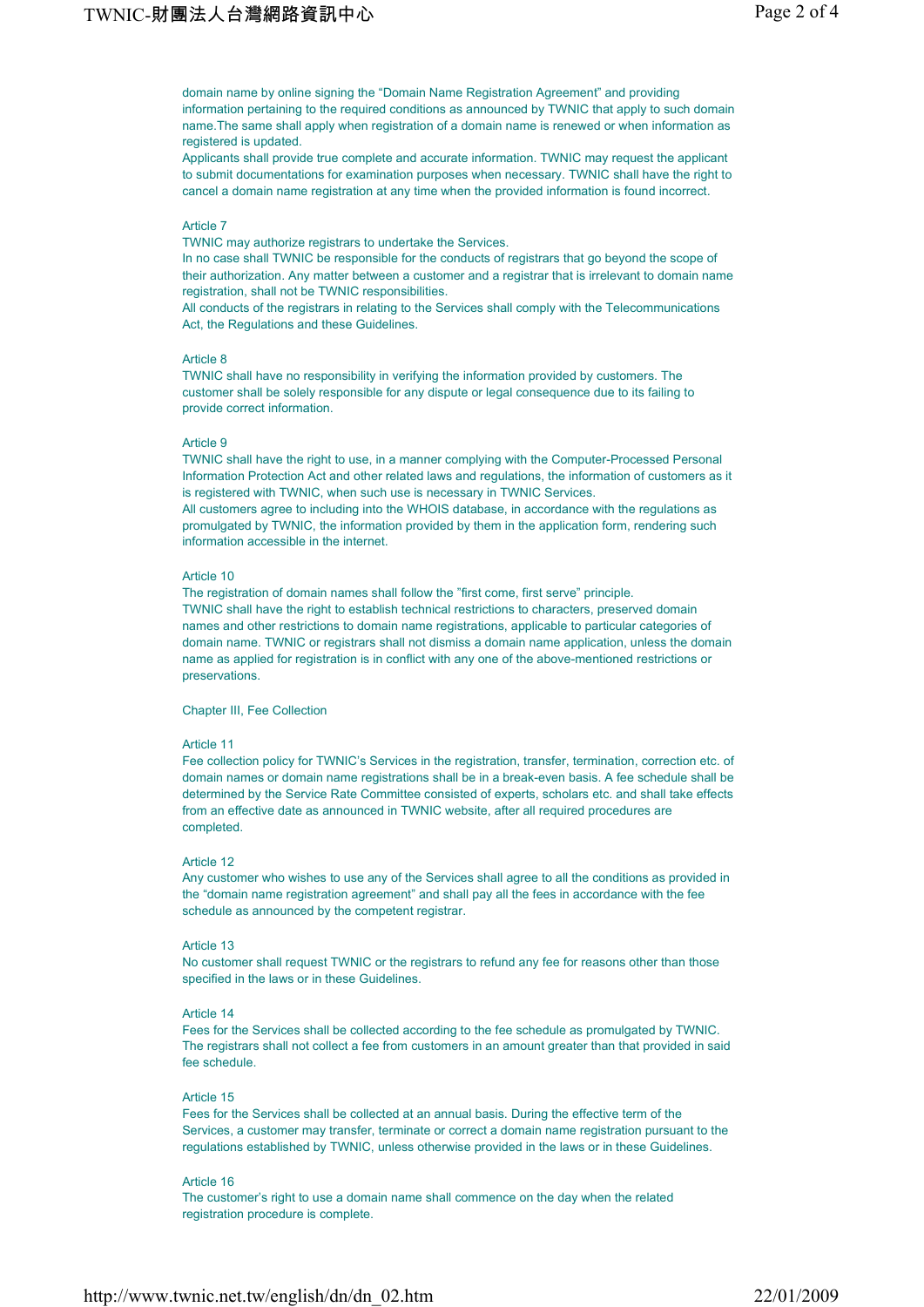domain name by online signing the "Domain Name Registration Agreement" and providing information pertaining to the required conditions as announced by TWNIC that apply to such domain name.The same shall apply when registration of a domain name is renewed or when information as registered is updated.

Applicants shall provide true complete and accurate information. TWNIC may request the applicant to submit documentations for examination purposes when necessary. TWNIC shall have the right to cancel a domain name registration at any time when the provided information is found incorrect.

### Article 7

TWNIC may authorize registrars to undertake the Services.

In no case shall TWNIC be responsible for the conducts of registrars that go beyond the scope of their authorization. Any matter between a customer and a registrar that is irrelevant to domain name registration, shall not be TWNIC responsibilities.

All conducts of the registrars in relating to the Services shall comply with the Telecommunications Act, the Regulations and these Guidelines.

#### Article 8

TWNIC shall have no responsibility in verifying the information provided by customers. The customer shall be solely responsible for any dispute or legal consequence due to its failing to provide correct information.

### Article 9

TWNIC shall have the right to use, in a manner complying with the Computer-Processed Personal Information Protection Act and other related laws and regulations, the information of customers as it is registered with TWNIC, when such use is necessary in TWNIC Services. All customers agree to including into the WHOIS database, in accordance with the regulations as promulgated by TWNIC, the information provided by them in the application form, rendering such information accessible in the internet.

### Article 10

The registration of domain names shall follow the "first come, first serve" principle. TWNIC shall have the right to establish technical restrictions to characters, preserved domain names and other restrictions to domain name registrations, applicable to particular categories of domain name. TWNIC or registrars shall not dismiss a domain name application, unless the domain name as applied for registration is in conflict with any one of the above-mentioned restrictions or preservations.

Chapter III, Fee Collection

### Article 11

Fee collection policy for TWNIC's Services in the registration, transfer, termination, correction etc. of domain names or domain name registrations shall be in a break-even basis. A fee schedule shall be determined by the Service Rate Committee consisted of experts, scholars etc. and shall take effects from an effective date as announced in TWNIC website, after all required procedures are completed.

#### Article 12

Any customer who wishes to use any of the Services shall agree to all the conditions as provided in the "domain name registration agreement" and shall pay all the fees in accordance with the fee schedule as announced by the competent registrar.

### Article 13

No customer shall request TWNIC or the registrars to refund any fee for reasons other than those specified in the laws or in these Guidelines.

#### Article 14

Fees for the Services shall be collected according to the fee schedule as promulgated by TWNIC. The registrars shall not collect a fee from customers in an amount greater than that provided in said fee schedule.

#### Article 15

Fees for the Services shall be collected at an annual basis. During the effective term of the Services, a customer may transfer, terminate or correct a domain name registration pursuant to the regulations established by TWNIC, unless otherwise provided in the laws or in these Guidelines.

### Article 16

The customer's right to use a domain name shall commence on the day when the related registration procedure is complete.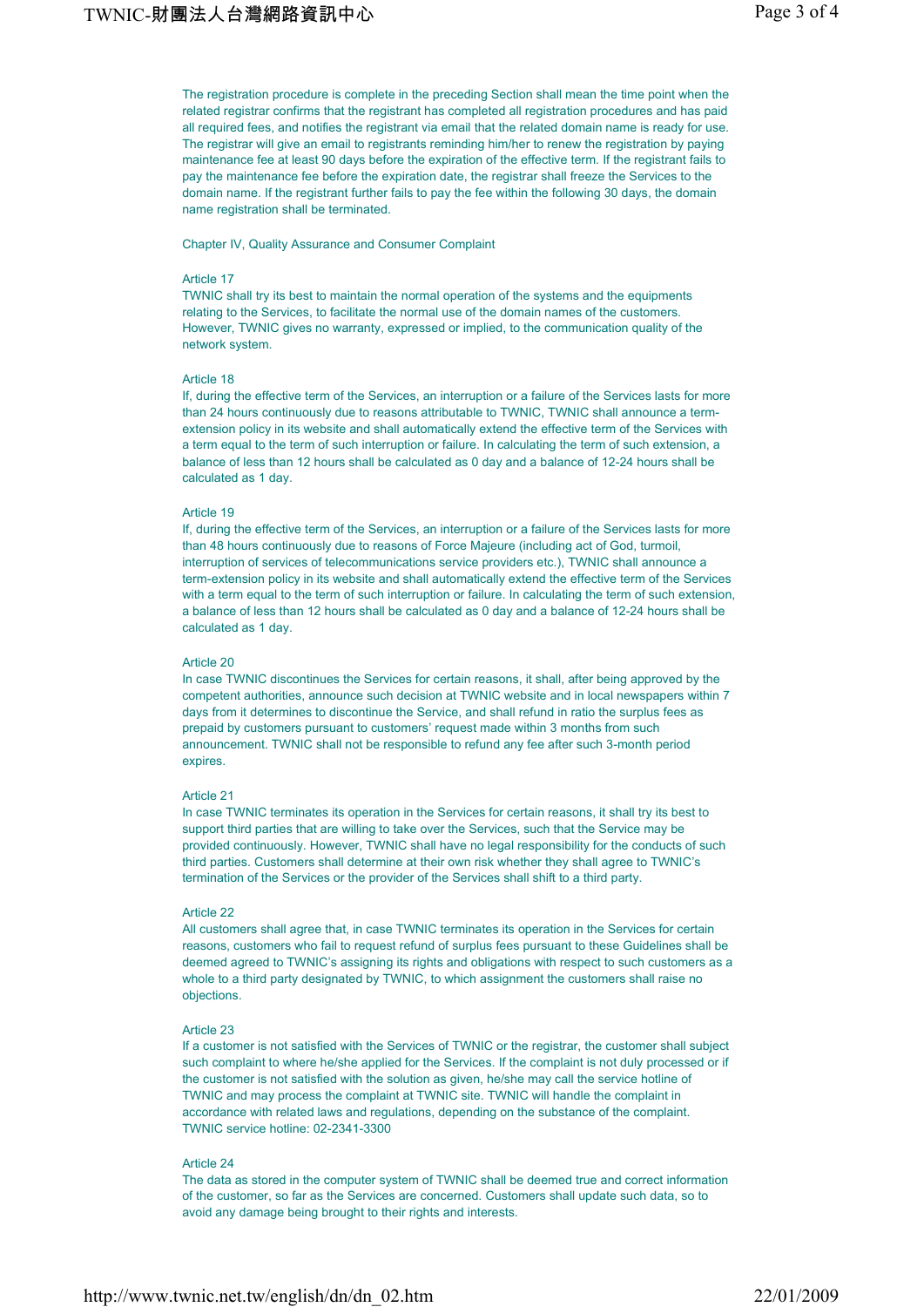The registration procedure is complete in the preceding Section shall mean the time point when the related registrar confirms that the registrant has completed all registration procedures and has paid all required fees, and notifies the registrant via email that the related domain name is ready for use. The registrar will give an email to registrants reminding him/her to renew the registration by paying maintenance fee at least 90 days before the expiration of the effective term. If the registrant fails to pay the maintenance fee before the expiration date, the registrar shall freeze the Services to the domain name. If the registrant further fails to pay the fee within the following 30 days, the domain name registration shall be terminated.

Chapter IV, Quality Assurance and Consumer Complaint

### Article 17

TWNIC shall try its best to maintain the normal operation of the systems and the equipments relating to the Services, to facilitate the normal use of the domain names of the customers. However, TWNIC gives no warranty, expressed or implied, to the communication quality of the network system.

# Article 18

If, during the effective term of the Services, an interruption or a failure of the Services lasts for more than 24 hours continuously due to reasons attributable to TWNIC, TWNIC shall announce a termextension policy in its website and shall automatically extend the effective term of the Services with a term equal to the term of such interruption or failure. In calculating the term of such extension, a balance of less than 12 hours shall be calculated as 0 day and a balance of 12-24 hours shall be calculated as 1 day.

#### Article 19

If, during the effective term of the Services, an interruption or a failure of the Services lasts for more than 48 hours continuously due to reasons of Force Majeure (including act of God, turmoil, interruption of services of telecommunications service providers etc.), TWNIC shall announce a term-extension policy in its website and shall automatically extend the effective term of the Services with a term equal to the term of such interruption or failure. In calculating the term of such extension, a balance of less than 12 hours shall be calculated as 0 day and a balance of 12-24 hours shall be calculated as 1 day.

### Article 20

In case TWNIC discontinues the Services for certain reasons, it shall, after being approved by the competent authorities, announce such decision at TWNIC website and in local newspapers within 7 days from it determines to discontinue the Service, and shall refund in ratio the surplus fees as prepaid by customers pursuant to customers' request made within 3 months from such announcement. TWNIC shall not be responsible to refund any fee after such 3-month period expires.

#### Article 21

In case TWNIC terminates its operation in the Services for certain reasons, it shall try its best to support third parties that are willing to take over the Services, such that the Service may be provided continuously. However, TWNIC shall have no legal responsibility for the conducts of such third parties. Customers shall determine at their own risk whether they shall agree to TWNIC's termination of the Services or the provider of the Services shall shift to a third party.

### Article 22

All customers shall agree that, in case TWNIC terminates its operation in the Services for certain reasons, customers who fail to request refund of surplus fees pursuant to these Guidelines shall be deemed agreed to TWNIC's assigning its rights and obligations with respect to such customers as a whole to a third party designated by TWNIC, to which assignment the customers shall raise no objections.

#### Article 23

If a customer is not satisfied with the Services of TWNIC or the registrar, the customer shall subject such complaint to where he/she applied for the Services. If the complaint is not duly processed or if the customer is not satisfied with the solution as given, he/she may call the service hotline of TWNIC and may process the complaint at TWNIC site. TWNIC will handle the complaint in accordance with related laws and regulations, depending on the substance of the complaint. TWNIC service hotline: 02-2341-3300

### Article 24

The data as stored in the computer system of TWNIC shall be deemed true and correct information of the customer, so far as the Services are concerned. Customers shall update such data, so to avoid any damage being brought to their rights and interests.